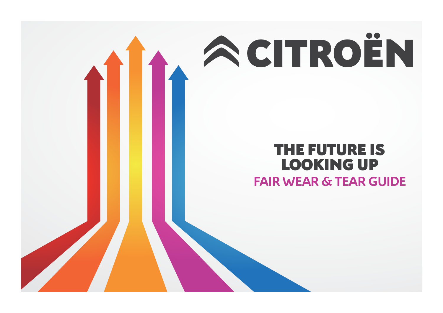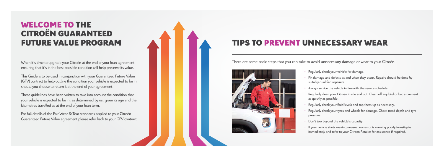## WELCOME TO THE CITROËN GUARANTEED FUTURE VALUE PROGRAM

When it's time to upgrade your Citroën at the end of your loan agreement, ensuring that it's in the best possible condition will help preserve its value.

This Guide is to be used in conjunction with your Guaranteed Future Value (GFV) contract to help outline the condition your vehicle is expected to be in should you choose to return it at the end of your agreement.

- Regularly check your vehicle for damage.
- suitably qualified repairers.
- 
- as quickly as possible.
- 
- pressure.
- Don't tow beyond the vehicle's capacity.
- 

These guidelines have been written to take into account the condition that your vehicle is expected to be in, as determined by us, given its age and the kilometres travelled as at the end of your loan term.

For full details of the Fair Wear & Tear standards applied to your Citroën Guaranteed Future Value agreement please refer back to your GFV contract. • Fix damage and defects as and when they occur. Repairs should be done by

**•** Always service the vehicle in line with the service schedule.

• Regularly clean your Citroën inside and out. Clean off any bird or bat excrement

• Regularly check your fluid levels and top them up as necessary.

• Regularly check your tyres and wheels for damage. Check tread depth and tyre

• If your vehicle starts making unusual noises or is running poorly investigate immediately and refer to your Citroën Retailer for assistance if required.

# TIPS TO PREVENT UNNECESSARY WEAR

There are some basic steps that you can take to avoid unnecessary damage or wear to your Citroën.

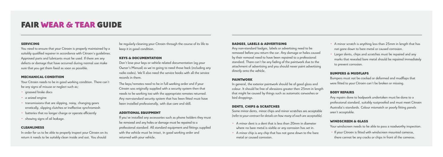## FAIR WEAR & TEAR GUIDE

### SERVICING

You need to ensure that your Citroën is properly maintained by a suitably qualified repairer in accordance with Citroën's guidelines. Approved parts and lubricants must be used. If there are any defects or damage that have occurred during normal use make sure that you get them fixed as soon as possible.

### MECHANICAL CONDITION

Your Citroën needs to be in good working condition. There can't be any signs of misuse or neglect such as;

- grooved brake discs
- a seized engine
- transmissions that are slipping, noisy, changing gears erratically, slipping clutches or ineffective synchromesh
- batteries that no longer charge or operate efficiently
- showing signs of oil leakage.

### CLEANLINESS

In order for us to be able to properly inspect your Citroën on its return it needs to be suitably clean inside and out. You should

be regularly cleaning your Citroën through the course of its life to keep it in good condition.

### KEYS & DOCUMENTATION

Don't lose your keys or vehicle related documentation (eg.your Owner's Manual) as we're going to need those back (including any radio codes). We'll also need the service books with all the service records in them.

The keys/remotes need to be in full working order and if your Citroën was originally supplied with a security system then that needs to be working too with the appropriate remotes returned. Any non-standard security system that has been fitted must have been installed professionally, with due care and skill.

### ADDITIONAL EQUIPMENT

If you've installed any accessories such as phone holders they must be removed and any holes or damage must be repaired to a professional standard. All standard equipment and fittings supplied with the vehicle must be intact, in good working order and returned with your vehicle.

### BADGES, LABELS & ADVERTISING

Any non-standard badges, labels or advertising need to be removed before you return the car. Any damage or holes caused by their removal need to have been repaired to a professional standard. There can't be any fading of the paintwork due to the attachment of advertising and you should never paint advertising directly onto the vehicle.

### PAINTWORK

In general, the exterior paintwork should be of good gloss and colour. It should be free of abrasions greater then 25mm in length that might be caused by things such as automatic carwashes or bird droppings.

### DENTS, CHIPS & SCRATCHES

Some minor dents, minor chips and minor scratches are acceptable *(refer to your contract for details on how many of each are acceptable).*

- A minor dent is a dent that is less than 20mm in diameter where no bare metal is visible or any corrosion has set in.
- A minor chip is any chip that has not gone down to the bare metal or caused corrosion.

• A minor scratch is anything less than 25mm in length that has not gone down to bare metal or caused corrosion.

• Larger dents, chips and scratches must be repaired and any marks that revealed bare metal should be repaired immediately to prevent corrosion.

### BUMPERS & MUDFLAPS

Bumpers must not be cracked or deformed and mudflaps that were fitted to your Citroën can't be broken or missing.

### BODY REPAIRS

Any repairs done to bodywork undertaken must be done to a professional standard, suitably rustproofed and must meet Citroën Australia's standards. Colour mismatch or poorly fitting panels aren't acceptable.

### WINDSCREEN & GLASS

Your windscreen needs to be able to pass a roadworthy inspection.

• If your Citroën is fitted with windscreen mounted cameras,

there cannot be any cracks or chips in front of the cameras.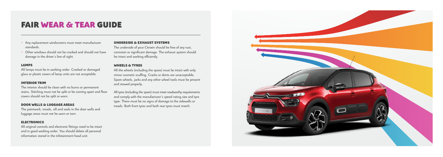## FAIR WEAR & TEAR GUIDE

- Any replacement windscreens must meet manufacturer standards.
- Other windows should not be cracked and should not have damage in the driver's line of sight.

### LAMPS

All lamps must be in working order. Cracked or damaged glass or plastic covers of lamp units are not acceptable.

### INTERIOR TRIM

The interior should be clean with no burns or permanent stains. Stitching must not be split or be coming apart and floor covers should not be split or worn.

### DOOR WELLS & LUGGAGE AREAS

The paintwork, treads, sill and seals in the door wells and luggage areas must not be worn or torn.

### ELECTRONICS

All original controls and electronic fittings need to be intact and in good working order. You should delete all personal information stored in the infotainment head unit.

### UNDERSIDE & EXHAUST SYSTEMS

The underside of your Citroën should be free of any rust, corrosion or significant damage. The exhaust system should be intact and working efficiently.

### WHEELS & TYRES

All the wheels (including the spare) must be intact with only minor cosmetic scuffing. Cracks or dents are unacceptable. Spare wheels, jacks and any other wheel tools must be present and stowed properly.

All tyres (including the spare) must meet roadworthy requirements and comply with the manufacturer's speed rating size and tyre type. There must be no signs of damage to the sidewalls or treads. Both front tyres and both rear tyres must match.